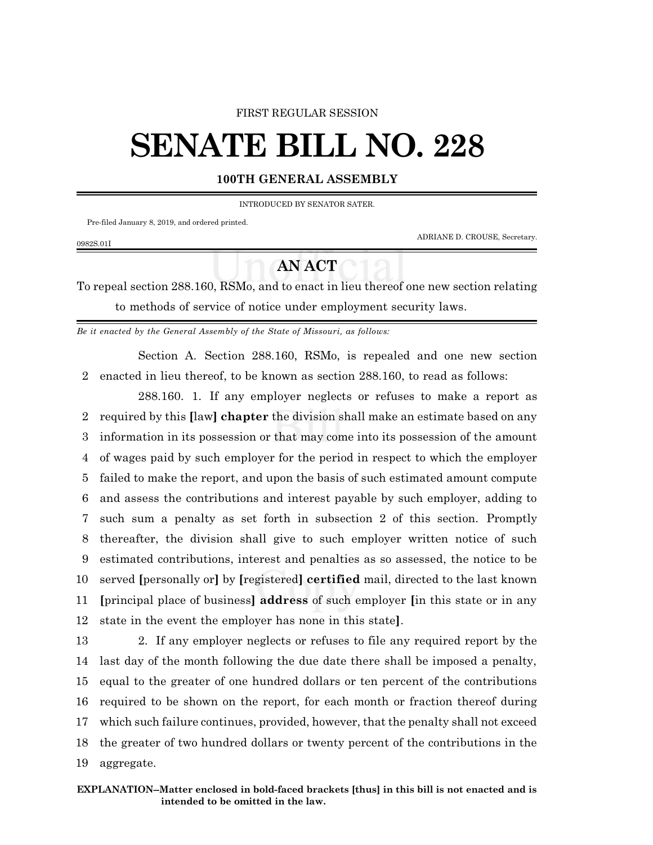## FIRST REGULAR SESSION

## **SENATE BILL NO. 228**

## **100TH GENERAL ASSEMBLY**

INTRODUCED BY SENATOR SATER.

Pre-filed January 8, 2019, and ordered printed.

0982S.01I

ADRIANE D. CROUSE, Secretary.

## **AN ACT**

To repeal section 288.160, RSMo, and to enact in lieu thereof one new section relating to methods of service of notice under employment security laws.

*Be it enacted by the General Assembly of the State of Missouri, as follows:*

Section A. Section 288.160, RSMo, is repealed and one new section 2 enacted in lieu thereof, to be known as section 288.160, to read as follows:

288.160. 1. If any employer neglects or refuses to make a report as required by this **[**law**] chapter** the division shall make an estimate based on any information in its possession or that may come into its possession of the amount of wages paid by such employer for the period in respect to which the employer failed to make the report, and upon the basis of such estimated amount compute and assess the contributions and interest payable by such employer, adding to such sum a penalty as set forth in subsection 2 of this section. Promptly thereafter, the division shall give to such employer written notice of such estimated contributions, interest and penalties as so assessed, the notice to be served **[**personally or**]** by **[**registered**] certified** mail, directed to the last known **[**principal place of business**] address** of such employer **[**in this state or in any state in the event the employer has none in this state**]**.

 2. If any employer neglects or refuses to file any required report by the last day of the month following the due date there shall be imposed a penalty, equal to the greater of one hundred dollars or ten percent of the contributions required to be shown on the report, for each month or fraction thereof during which such failure continues, provided, however, that the penalty shall not exceed the greater of two hundred dollars or twenty percent of the contributions in the aggregate.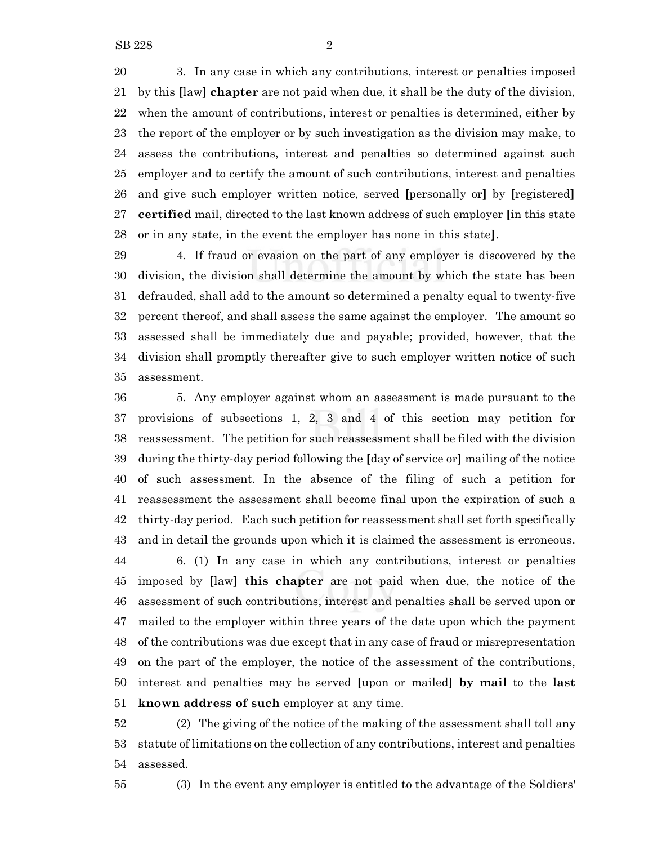3. In any case in which any contributions, interest or penalties imposed by this **[**law**] chapter** are not paid when due, it shall be the duty of the division, when the amount of contributions, interest or penalties is determined, either by the report of the employer or by such investigation as the division may make, to assess the contributions, interest and penalties so determined against such employer and to certify the amount of such contributions, interest and penalties and give such employer written notice, served **[**personally or**]** by **[**registered**] certified** mail, directed to the last known address of such employer **[**in this state or in any state, in the event the employer has none in this state**]**.

 4. If fraud or evasion on the part of any employer is discovered by the division, the division shall determine the amount by which the state has been defrauded, shall add to the amount so determined a penalty equal to twenty-five percent thereof, and shall assess the same against the employer. The amount so assessed shall be immediately due and payable; provided, however, that the division shall promptly thereafter give to such employer written notice of such assessment.

 5. Any employer against whom an assessment is made pursuant to the provisions of subsections 1, 2, 3 and 4 of this section may petition for reassessment. The petition for such reassessment shall be filed with the division during the thirty-day period following the **[**day of service or**]** mailing of the notice of such assessment. In the absence of the filing of such a petition for reassessment the assessment shall become final upon the expiration of such a thirty-day period. Each such petition for reassessment shall set forth specifically and in detail the grounds upon which it is claimed the assessment is erroneous. 6. (1) In any case in which any contributions, interest or penalties imposed by **[**law**] this chapter** are not paid when due, the notice of the assessment of such contributions, interest and penalties shall be served upon or mailed to the employer within three years of the date upon which the payment of the contributions was due except that in any case of fraud or misrepresentation on the part of the employer, the notice of the assessment of the contributions, interest and penalties may be served **[**upon or mailed**] by mail** to the **last known address of such** employer at any time.

 (2) The giving of the notice of the making of the assessment shall toll any statute of limitations on the collection of any contributions, interest and penalties assessed.

(3) In the event any employer is entitled to the advantage of the Soldiers'